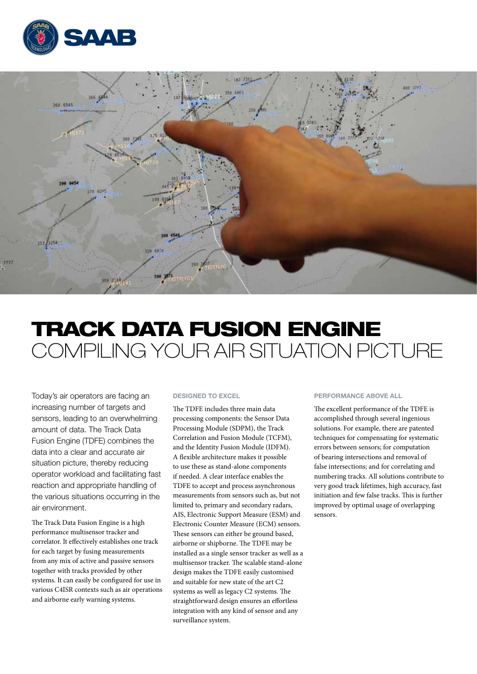



# TRACK DATA FUSION ENGINE Compiling your air situation picture

Today's air operators are facing an increasing number of targets and sensors, leading to an overwhelming amount of data. The Track Data Fusion Engine (TDFE) combines the data into a clear and accurate air situation picture, thereby reducing operator workload and facilitating fast reaction and appropriate handling of the various situations occurring in the air environment.

The Track Data Fusion Engine is a high performance multisensor tracker and correlator. It effectively establishes one track for each target by fusing measurements from any mix of active and passive sensors together with tracks provided by other systems. It can easily be configured for use in various C4ISR contexts such as air operations and airborne early warning systems.

#### Designed to excel

The TDFE includes three main data processing components: the Sensor Data Processing Module (SDPM), the Track Correlation and Fusion Module (TCFM), and the Identity Fusion Module (IDFM). A flexible architecture makes it possible to use these as stand-alone components if needed. A clear interface enables the TDFE to accept and process asynchronous measurements from sensors such as, but not limited to, primary and secondary radars, AIS, Electronic Support Measure (ESM) and Electronic Counter Measure (ECM) sensors. These sensors can either be ground based, airborne or shipborne. The TDFE may be installed as a single sensor tracker as well as a multisensor tracker. The scalable stand-alone design makes the TDFE easily customised and suitable for new state of the art C2 systems as well as legacy C2 systems. The straightforward design ensures an effortless integration with any kind of sensor and any surveillance system.

## Performance above all

The excellent performance of the TDFE is accomplished through several ingenious solutions. For example, there are patented techniques for compensating for systematic errors between sensors; for computation of bearing intersections and removal of false intersections; and for correlating and numbering tracks. All solutions contribute to very good track lifetimes, high accuracy, fast initiation and few false tracks. This is further improved by optimal usage of overlapping sensors.